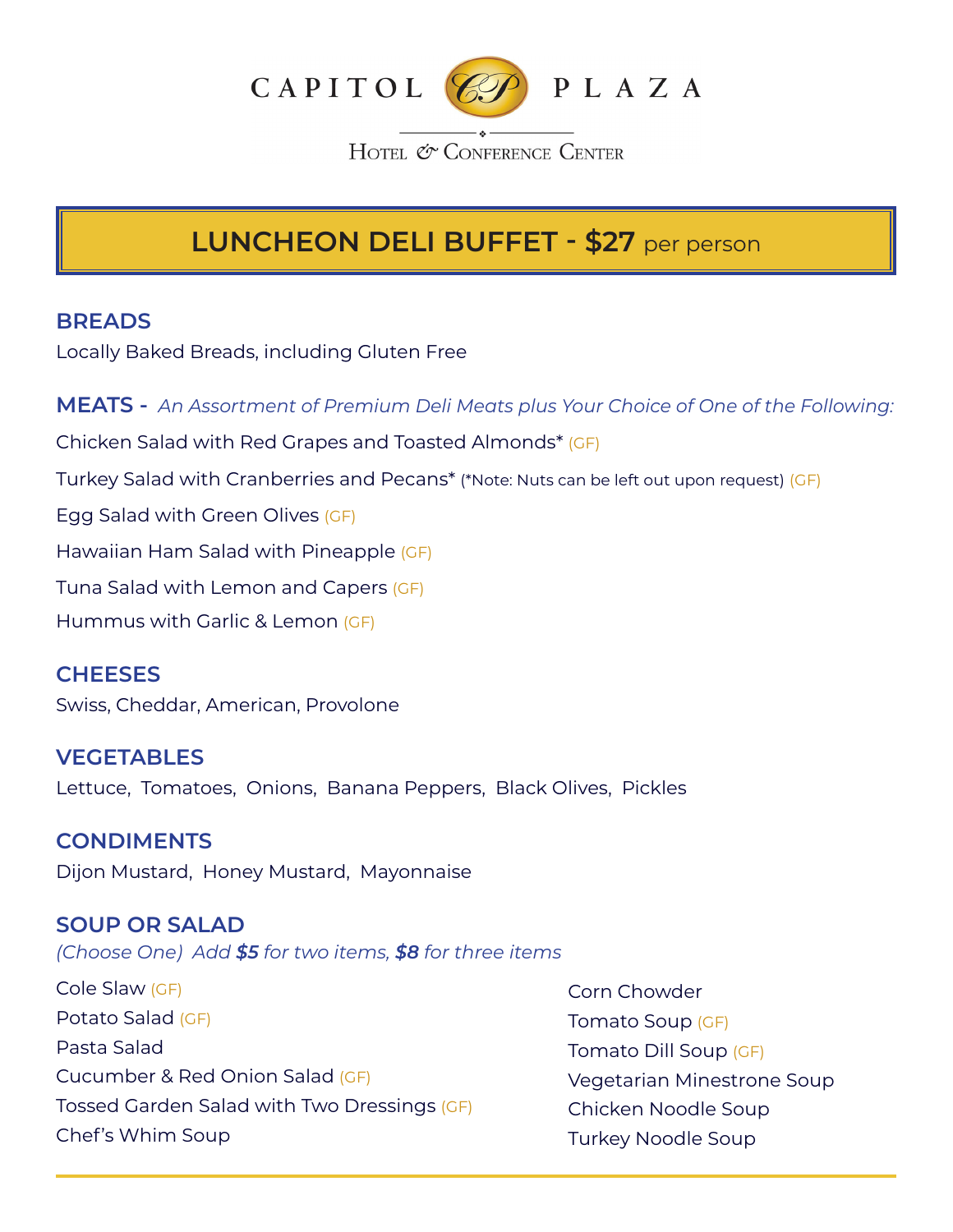

HOTEL & CONFERENCE CENTER

# **LUNCHEON DELI BUFFET - \$27** per person

### **BREADS**

Locally Baked Breads, including Gluten Free

**MEATS -** *An Assortment of Premium Deli Meats plus Your Choice of One of the Following:* Chicken Salad with Red Grapes and Toasted Almonds\* (GF) Turkey Salad with Cranberries and Pecans\* (\*Note: Nuts can be left out upon request) (GF) Egg Salad with Green Olives (GF) Hawaiian Ham Salad with Pineapple (GF) Tuna Salad with Lemon and Capers (GF) Hummus with Garlic & Lemon (GF)

### **CHEESES**

Swiss, Cheddar, American, Provolone

**VEGETABLES** Lettuce, Tomatoes, Onions, Banana Peppers, Black Olives, Pickles

### **CONDIMENTS**

Dijon Mustard, Honey Mustard, Mayonnaise

### **SOUP OR SALAD**

*(Choose One) Add \$5 for two items, \$8 for three items*

Cole Slaw (GF) Potato Salad (GF) Pasta Salad Cucumber & Red Onion Salad (GF) Tossed Garden Salad with Two Dressings (GF) Chef's Whim Soup

Corn Chowder Tomato Soup (GF) Tomato Dill Soup (GF) Vegetarian Minestrone Soup Chicken Noodle Soup Turkey Noodle Soup